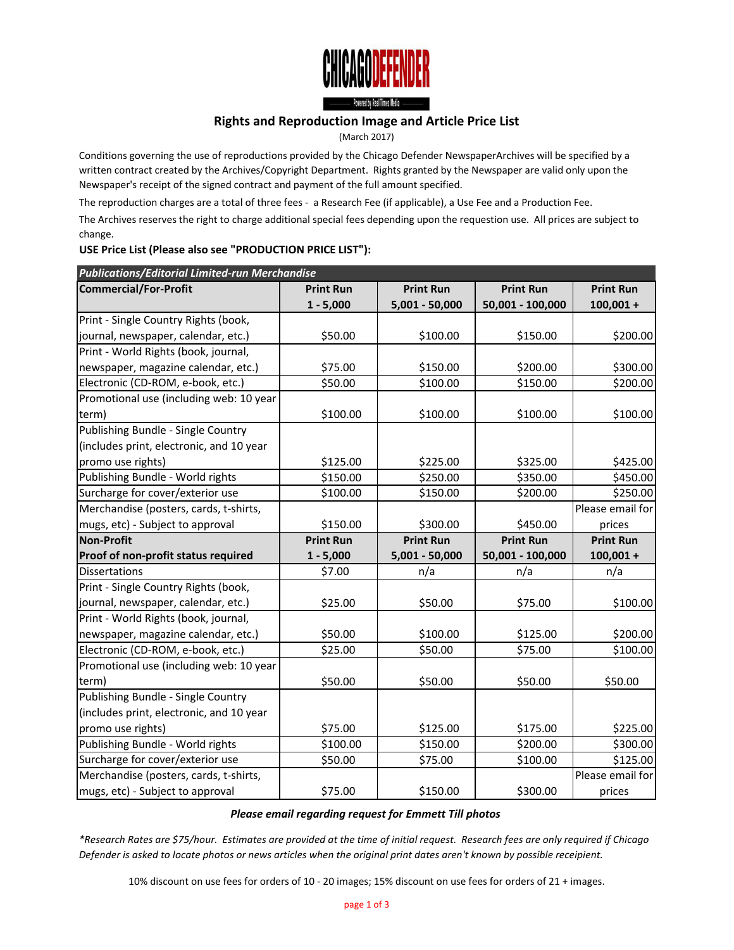

- Povered by Real Times Media

## **Rights and Reproduction Image and Article Price List**

(March 2017)

Conditions governing the use of reproductions provided by the Chicago Defender NewspaperArchives will be specified by a written contract created by the Archives/Copyright Department. Rights granted by the Newspaper are valid only upon the Newspaper's receipt of the signed contract and payment of the full amount specified.

The reproduction charges are a total of three fees - a Research Fee (if applicable), a Use Fee and a Production Fee.

The Archives reserves the right to charge additional special fees depending upon the requestion use. All prices are subject to change.

## **USE Price List (Please also see "PRODUCTION PRICE LIST"):**

| <b>Publications/Editorial Limited-run Merchandise</b> |                  |                  |                  |                  |  |
|-------------------------------------------------------|------------------|------------------|------------------|------------------|--|
| <b>Commercial/For-Profit</b>                          | <b>Print Run</b> | <b>Print Run</b> | <b>Print Run</b> | <b>Print Run</b> |  |
|                                                       | $1 - 5,000$      | 5,001 - 50,000   | 50,001 - 100,000 | $100,001 +$      |  |
| Print - Single Country Rights (book,                  |                  |                  |                  |                  |  |
| journal, newspaper, calendar, etc.)                   | \$50.00          | \$100.00         | \$150.00         | \$200.00         |  |
| Print - World Rights (book, journal,                  |                  |                  |                  |                  |  |
| newspaper, magazine calendar, etc.)                   | \$75.00          | \$150.00         | \$200.00         | \$300.00         |  |
| Electronic (CD-ROM, e-book, etc.)                     | \$50.00          | \$100.00         | \$150.00         | \$200.00         |  |
| Promotional use (including web: 10 year               |                  |                  |                  |                  |  |
| term)                                                 | \$100.00         | \$100.00         | \$100.00         | \$100.00         |  |
| Publishing Bundle - Single Country                    |                  |                  |                  |                  |  |
| (includes print, electronic, and 10 year              |                  |                  |                  |                  |  |
| promo use rights)                                     | \$125.00         | \$225.00         | \$325.00         | \$425.00         |  |
| Publishing Bundle - World rights                      | \$150.00         | \$250.00         | \$350.00         | \$450.00         |  |
| Surcharge for cover/exterior use                      | \$100.00         | \$150.00         | \$200.00         | \$250.00         |  |
| Merchandise (posters, cards, t-shirts,                |                  |                  |                  | Please email for |  |
| mugs, etc) - Subject to approval                      | \$150.00         | \$300.00         | \$450.00         | prices           |  |
|                                                       |                  |                  |                  |                  |  |
| Non-Profit                                            | <b>Print Run</b> | <b>Print Run</b> | <b>Print Run</b> | <b>Print Run</b> |  |
| Proof of non-profit status required                   | $1 - 5,000$      | 5,001 - 50,000   | 50,001 - 100,000 | $100,001 +$      |  |
| <b>Dissertations</b>                                  | \$7.00           | n/a              | n/a              | n/a              |  |
| Print - Single Country Rights (book,                  |                  |                  |                  |                  |  |
| journal, newspaper, calendar, etc.)                   | \$25.00          | \$50.00          | \$75.00          | \$100.00         |  |
| Print - World Rights (book, journal,                  |                  |                  |                  |                  |  |
| newspaper, magazine calendar, etc.)                   | \$50.00          | \$100.00         | \$125.00         | \$200.00         |  |
| Electronic (CD-ROM, e-book, etc.)                     | \$25.00          | \$50.00          | \$75.00          | \$100.00         |  |
| Promotional use (including web: 10 year               |                  |                  |                  |                  |  |
| term)                                                 | \$50.00          | \$50.00          | \$50.00          | \$50.00          |  |
| Publishing Bundle - Single Country                    |                  |                  |                  |                  |  |
| (includes print, electronic, and 10 year              |                  |                  |                  |                  |  |
| promo use rights)                                     | \$75.00          | \$125.00         | \$175.00         | \$225.00         |  |
| Publishing Bundle - World rights                      | \$100.00         | \$150.00         | \$200.00         | \$300.00         |  |
| Surcharge for cover/exterior use                      | \$50.00          | \$75.00          | \$100.00         | \$125.00         |  |
| Merchandise (posters, cards, t-shirts,                |                  |                  |                  | Please email for |  |

## *Please email regarding request for Emmett Till photos*

*\*Research Rates are \$75/hour. Estimates are provided at the time of initial request. Research fees are only required if Chicago Defender is asked to locate photos or news articles when the original print dates aren't known by possible receipient.*

10% discount on use fees for orders of 10 - 20 images; 15% discount on use fees for orders of 21 + images.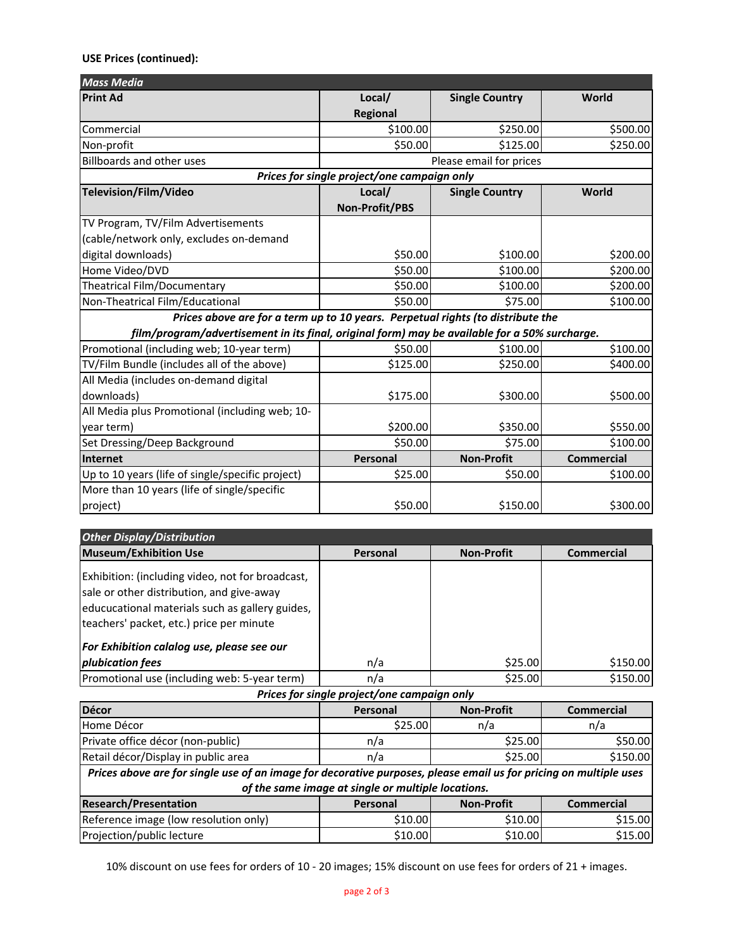## **USE Prices (continued):**

| <b>Mass Media</b>                                                                             |                                             |                       |                   |
|-----------------------------------------------------------------------------------------------|---------------------------------------------|-----------------------|-------------------|
| <b>Print Ad</b>                                                                               | Local/                                      | <b>Single Country</b> | World             |
|                                                                                               | <b>Regional</b>                             |                       |                   |
| Commercial                                                                                    | \$100.00                                    | \$250.00              | \$500.00          |
| Non-profit                                                                                    | \$50.00                                     | \$125.00              | \$250.00          |
| <b>Billboards and other uses</b>                                                              | Please email for prices                     |                       |                   |
|                                                                                               | Prices for single project/one campaign only |                       |                   |
| Television/Film/Video                                                                         | Local/                                      | <b>Single Country</b> | World             |
|                                                                                               | Non-Profit/PBS                              |                       |                   |
| TV Program, TV/Film Advertisements                                                            |                                             |                       |                   |
| (cable/network only, excludes on-demand                                                       |                                             |                       |                   |
| digital downloads)                                                                            | \$50.00                                     | \$100.00              | \$200.00          |
| Home Video/DVD                                                                                | \$50.00                                     | \$100.00              | \$200.00          |
| <b>Theatrical Film/Documentary</b>                                                            | \$50.00                                     | \$100.00              | \$200.00          |
| Non-Theatrical Film/Educational                                                               | \$50.00                                     | \$75.00               | \$100.00          |
| Prices above are for a term up to 10 years. Perpetual rights (to distribute the               |                                             |                       |                   |
| film/program/advertisement in its final, original form) may be available for a 50% surcharge. |                                             |                       |                   |
| Promotional (including web; 10-year term)                                                     | \$50.00                                     | \$100.00              | \$100.00          |
| TV/Film Bundle (includes all of the above)                                                    | \$125.00                                    | \$250.00              | \$400.00          |
| All Media (includes on-demand digital                                                         |                                             |                       |                   |
| downloads)                                                                                    | \$175.00                                    | \$300.00              | \$500.00          |
| All Media plus Promotional (including web; 10-                                                |                                             |                       |                   |
| year term)                                                                                    | \$200.00                                    | \$350.00              | \$550.00          |
| Set Dressing/Deep Background                                                                  | \$50.00                                     | \$75.00               | \$100.00          |
| Internet                                                                                      | Personal                                    | <b>Non-Profit</b>     | <b>Commercial</b> |
| Up to 10 years (life of single/specific project)                                              | \$25.00                                     | \$50.00               | \$100.00          |
| More than 10 years (life of single/specific                                                   |                                             |                       |                   |
| project)                                                                                      | \$50.00                                     | \$150.00              | \$300.00          |
|                                                                                               |                                             |                       |                   |
| <b>Other Display/Distribution</b>                                                             |                                             |                       |                   |

| Other Display/Distribution                                                                                                                                                                   |                                             |                   |                   |
|----------------------------------------------------------------------------------------------------------------------------------------------------------------------------------------------|---------------------------------------------|-------------------|-------------------|
| <b>Museum/Exhibition Use</b>                                                                                                                                                                 | Personal                                    | <b>Non-Profit</b> | <b>Commercial</b> |
| Exhibition: (including video, not for broadcast,<br>sale or other distribution, and give-away<br>educucational materials such as gallery guides,<br>teachers' packet, etc.) price per minute |                                             |                   |                   |
| For Exhibition calalog use, please see our                                                                                                                                                   |                                             |                   |                   |
| plubication fees                                                                                                                                                                             | n/a                                         | \$25.00           | \$150.00          |
| Promotional use (including web: 5-year term)                                                                                                                                                 | n/a                                         | \$25.00           | \$150.00          |
|                                                                                                                                                                                              | Prices for single project/one campaign only |                   |                   |

| Décor                                                                                                             | Personal | <b>Non-Profit</b> | <b>Commercial</b> |  |
|-------------------------------------------------------------------------------------------------------------------|----------|-------------------|-------------------|--|
| Home Décor                                                                                                        | \$25.00  | n/a               | n/a               |  |
| Private office décor (non-public)                                                                                 | n/a      | \$25.00           | \$50.00           |  |
| Retail décor/Display in public area                                                                               | n/a      | \$25.00           | \$150.00          |  |
| Prices above are for single use of an image for decorative purposes, please email us for pricing on multiple uses |          |                   |                   |  |
| of the same image at single or multiple locations.                                                                |          |                   |                   |  |
| <b>Research/Presentation</b>                                                                                      | Personal | <b>Non-Profit</b> | <b>Commercial</b> |  |
| Reference image (low resolution only)                                                                             | \$10.00  | \$10.00           | \$15.00           |  |
| Projection/public lecture                                                                                         | \$10.00  | \$10.00           | \$15.00           |  |

10% discount on use fees for orders of 10 - 20 images; 15% discount on use fees for orders of 21 + images.